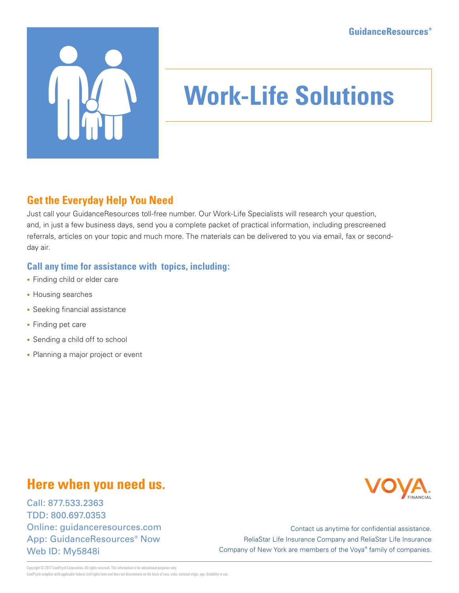

# **Work-Life Solutions**

### **Get the Everyday Help You Need**

Just call your GuidanceResources toll-free number. Our Work-Life Specialists will research your question, and, in just a few business days, send you a complete packet of practical information, including prescreened referrals, articles on your topic and much more. The materials can be delivered to you via email, fax or secondday air.

#### **Call any time for assistance with topics, including:**

- Finding child or elder care
- Housing searches
- Seeking financial assistance
- Finding pet care
- Sending a child off to school
- Planning a major project or event

## **Here when you need us.**

Call: 877.533.2363 TDD: 800.697.0353 Online: guidanceresources.com App: GuidanceResources® Now Web ID: My5848i



Contact us anytime for confidential assistance. ReliaStar Life Insurance Company and ReliaStar Life Insurance Company of New York are members of the Voya® family of companies.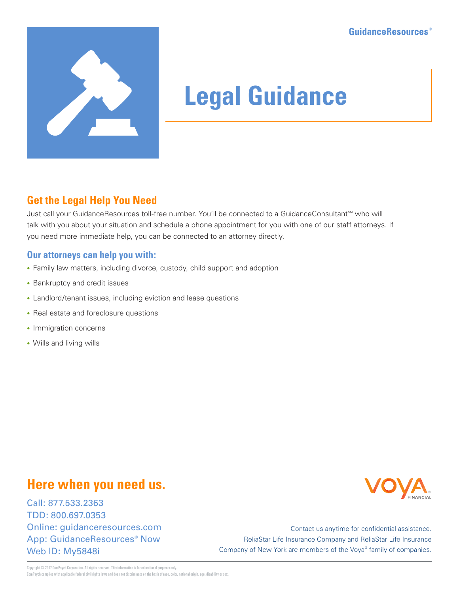

# **Legal Guidance**

### **Get the Legal Help You Need**

Just call your GuidanceResources toll-free number. You'll be connected to a GuidanceConsultant<sup>5M</sup> who will talk with you about your situation and schedule a phone appointment for you with one of our staff attorneys. If you need more immediate help, you can be connected to an attorney directly.

#### **Our attorneys can help you with:**

- Family law matters, including divorce, custody, child support and adoption
- Bankruptcy and credit issues
- Landlord/tenant issues, including eviction and lease questions
- Real estate and foreclosure questions
- Immigration concerns
- Wills and living wills

## **Here when you need us.**

Call: 877.533.2363 TDD: 800.697.0353 Online: guidanceresources.com App: GuidanceResources® Now Web ID: My5848i



Contact us anytime for confidential assistance. ReliaStar Life Insurance Company and ReliaStar Life Insurance Company of New York are members of the Voya® family of companies.

Convright © 2017 ComPsych Corporation. All rights reserved. This information is for educational purposes only. ComPsych complies with applicable federal civil rights laws and does not discriminate on the basis of race, color, national origin, age, disability or sex